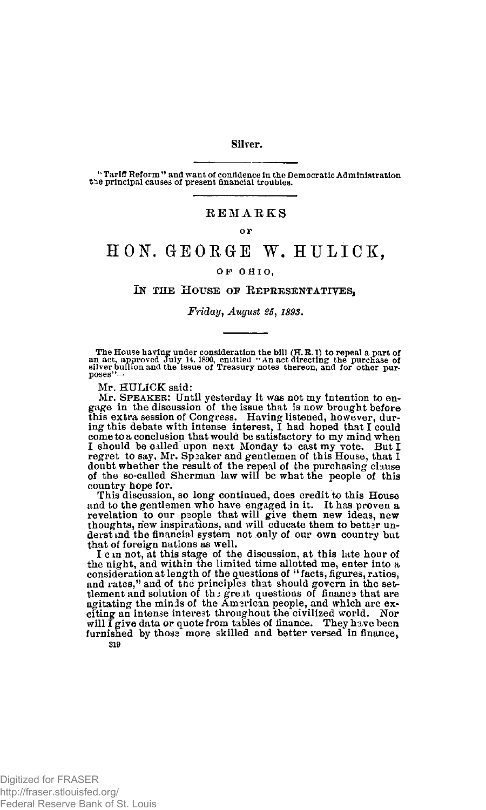### **Silver.**

**\*\* Tariff Reform" and want of confidence In the Democratic Administration t^e principal causes of present financial troubles.** 

## **REMARKS**

#### o r

# HON. GEORGE W. HULICK.

### **O F OHIO ,**

# I**N THE** H**OUSE OF** R**EPRESENTATIVES,**

*Friday, August 1898.* 

The House having under consideration the bill (H.R.I) to repeal a part of<br>an act, approved July 14, 1890, entitled "An act directing the purchase of<br>silver builion and the issue of Treasury notes thereon, and for other pur poses"

Mr. HULICK said:

Mr. SPEAKER: Until yesterday it was not my intention to engage in the discussion of the issue that is now brought before this extra session of Congress. Having listened, however, during this debate with intense interest, I had hoped that I could come to a conclusion that would be satisfactory to my mind when I should be called upon next Mond doubt whether the result of the repeal of the purchasing clause of the so-called Sherman law will be what the people of this country hope for.

This discussion, so long continued, does credit to this House and to the gentlemen who have engaged in it. It has proven a revelation to our people that will give them new ideas, new thoughts, new inspirations, and will educate them to better understind the financial system not only of our own country but that of foreign nations as well.

I c m not, at this stage of the discussion, at this late hour of the night, and within the limited time allotted me, enter into a consideration at length of the questions of " facts, figures, ratios, and rates," and of the principles that should govern in the set-<br>tlement and solution of the great questions of financs that are<br>agitating the minds of the Amsrican people, and which are exciting an intense interest throughout the civilized world. Nor will I give data or quote from tables of finance. They have been furnished by those more skilled and better versed in finance, **319**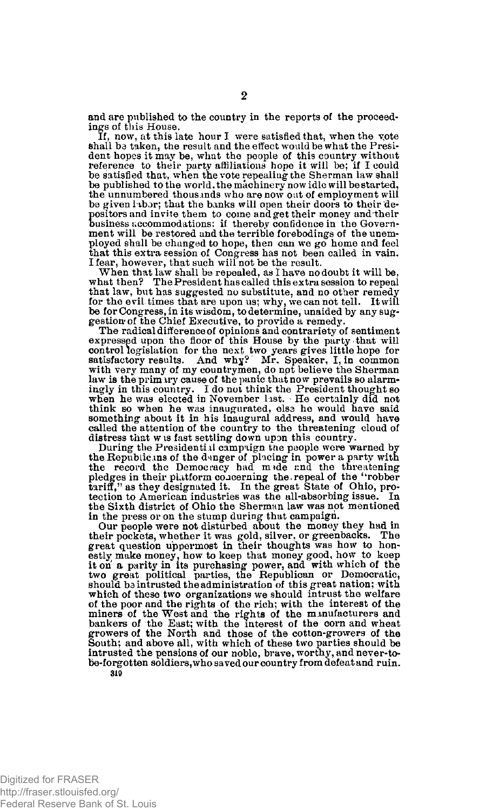and are published to the country in the reports of the proceedings of this House.

If, now, at this late hour I were satisfied that, when the vote shall bs taken, the result and the effect would be what the President hopes it may be, what the people of this country without reference to their party affiliations hope it will be; if I could be satisfied that, when the vote repealing the Sherman law shall be published to the world, the machinery now idle will be started, the unnumbered thousands who are now oat of employment will be given labor; that the banks will open their doors to their depositors and invite them to come and get their money and their business accommodations: if thereby confidence in the Government will be restored and the terrible forebodings of the unemployed shall be changed to hope, then can we go home and feel that this extra session of Congress has not been called in vain. I fear, however, that such will not be the result.

When that law shall be repealed, as I have no doubt it will be, what then? The President has called this extra session to repeal The President has called this extra session to repeal that law, but has suggested no substitute, and no other remedy for the evil times that are upon us; why, we can not tell. It will be for Congress, in its wisdom, to determine, unaided by any sug-gestion' of the Chief Executive, to provide a remedy.

The radical difference of opinions and contrariety of sentiment expressed upon the floor of this House by the party that will control legislation for the next two years gives little hope for satisfactory results. And why? Mr. Speaker, I, in common with very many of my countrymen, do npt believe the Sherman law is the primary cause of the panic that now prevails so alarmingly in this country. I do not think the President thought so when he was elected in November last. - He certainly did not think so when he was inaugurated, else he would have said something about it in his inaugural address, and would have called the attention of the country to the threatening cloud of distress that w is fast settling down upon this country.

During the Presidential campaign the people were warned by the Republicans of the d-rnger of placing in power a party with the record the Democracy had made r.nd the threatening pledges in their platform concerning the.repeal of the "robber tariff/' as they designated it. In the great State of Ohio, protection to American industries was the all-absorbing issue. In the Sixth district of Ohio the Sherman law was not mentioned in the press or on the stump during that campaign.

Our people were not disturbed about the money they had in their pockets, whether it was gold, silver, or greenbacks. The great question uppermost in their thoughts was how to honestly make money, how to keep that money good, how to keep it on a parity in its purchasing power, and with which of the two great political parties, the Republican or Democratic, should ba intrusted the administration of this great nation: with which of these two organizations we should intrust the welfare of the poor and the rights of the rich; with the interest of the miners of the West and the rights of the manufacturers and bankers of the East; with the interest of the corn and wheat growers of the North and those of the cotton-growers of the South; and above all, with which of these two parties should be intrusted the pensions of our noble, brave, worthy, and never-tobe-forgotten soldiers, who saved our country from defeat and ruin.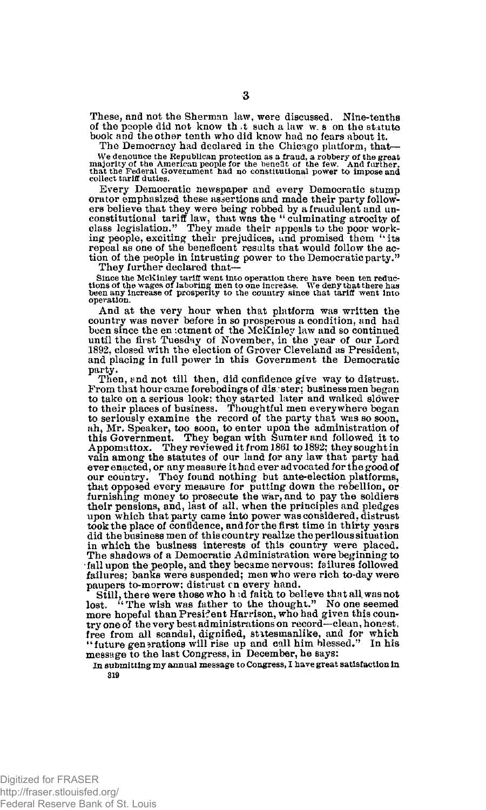These, and not the Sherman law, were discussed. Nine-tenths of the people did not know that such a law w.s on the statute book and the other tenth who did know had no fears about it.

The Democracy had declared in the Chicago platform, that— We denounce the Republican protection as a fraud, a robbery of the great<br>majority of the American people for the benefit of the few. And further,<br>that the Federal Government had no constitutional power to impose and **collect tariff duties.** 

Every Democratic newspaper and every Democratic stump orator emphasized these assertions and made their party followers believe that they were being robbed by a fraudulent and unconstitutional tariff law, that was the "culminating atrocity of class legislation." They made the ing people, exciting their prejudices, and promised them ''its repeal as one of the beneficent results that would follow the action of the people in intrusting power to the Democratic party."

They further declared that—

Since the McKinley tariff went into operation there have been ten reductions of the wages of laboring men to one increase. We deny that there has been any increase of prosperity to the country since that tariff went into **operation.** 

And at the very hour when that platform was written the country was never before in so prosperous a condition, and had been since the en ictment of the McKinley law and so continued until the first Tuesday of November, in the year of our Lord 1892, closed with the election of Grover Cleveland as President, and placing in full power in this Government the Democratic party.

Then, and not till then, did confidence give way to distrust. From that hour came forebodings of dis ster; business men began<br>to take on a serious look; they started later and walked slower to their places of business. Thoughtful men everywhere began to seriously examine the record of the party that was so soon, ah, Mr. Speaker, too soon, to enter upon the administration of this Government. They began with Sumter and followed it to Appomattox. They reviewed it from 1861 to 1892; they sought in vain among the statutes of our land for any law that party had ever enacted, or any measure it had ever advocated for the good of our country. They found nothing but ante-election platforms, that opposed every measure for putting down the rebellion, or furnishing money to prosecute the war, and to pay the soldiers their pensions, and, last of all, when the principles and pledges upon which that party came into power was considered, distrust took the place of confidence, and for the first time in thirty years did the business men of this country realize the perilous situation in which the business interests of this country were placed. The shadows of a Democratic Administration were beginning to fall upon the people, and they became nervous: failures followed failures; banks were suspended; men who were rich to-day were paupers to-morrow: distrust en every hand.

Still, there were those who h *id* faith to believe that all. was not lost. " The wish was father to the thought." No one seemed more hopeful than President Harrison, who had given this country one of the very best administrations on record—clean, honest, free from all scandal, dignified, stitesmanlike, and for which<br>"future generations will rise up and call him blessed." In his "future generations will rise up and call him blessed." message to the last Congress, in December, he says;

In submitting my annual message to Congress, I have great satisfaction in **319**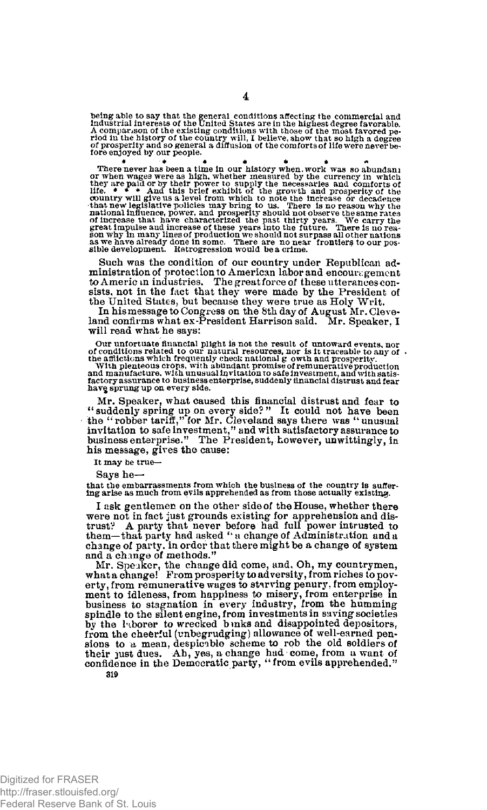being able to say that the general conditions affecting the commercial and<br>industrial interests of the United States are in the highest degree favorable.<br>A comparison of the existing conditions with those of the most favor

**4** 

There never has been a time in our history when work was so abundant<br>or when wages were as high, whether measured by the currency in which<br>they are paid or by their power to supply the necessaries and comforts of<br>the. if

Such was the condition of our country under Republican administration of protection to American labor and encouragement to Americ m industries. The great force of these utterances consists, not in the fact that they were made by the President of the United States, but because they were true as Holy Writ.

In his message to Congress on the 8th day of August Mr. Cleve-land confirms what ex-President Harrison said. Mr. Speaker, I will read what he says:

Our unfortuate financial plight is not the result of untoward events, nor<br>of conditions related to our natural resources, nor is it traceable to any of<br>the afflictions which frequently check national g owth and prosperity. **hav§ sprung up on every side.** 

Mr. Speaker, what caused this financial distrust and fear to " suddenly spring up on every side? " It could not have been the "robber tariff," for Mr. Cleveland says there was "unusual invitation to safe investment," and with satisfactory assurance to business enterprise." The President, Lowever, unwittingly, in his message, gives the cause:

**It may be true—** 

Says he—

**that the embarrassments from which the business of the country is suffer-ing arise as much from evils apprehended as from those actually existing.** 

I ask gentlemen on the other side of the House, whether there were not in fact just grounds existing for apprehension and distrust? A party that never before had full power intrusted to them—that party had asked " a change of Administration and a change of party, in order that there might be a change of system and a change of methods."

Mr. Speaker, the change did come, and. Oh, my countrymen, what a change! From prosperity to adversity, from riches to poverty, from remunerative wages to starving penury, from employment to idleness, from happiness to misery, from enterprise in business to stagnation in every industry, from the humming spindle to the silent engine, from investments in saving societies by the laborer to wrecked bmks and disappointed depositors, from the cheerful (unbegrudging) allowance of well-earned pensions to a mean, despicable scheme to rob the old soldiers of their just dues. Ah, yes, a change had come, from a want of confidence in the Democratic party, "from evils apprehended." **319**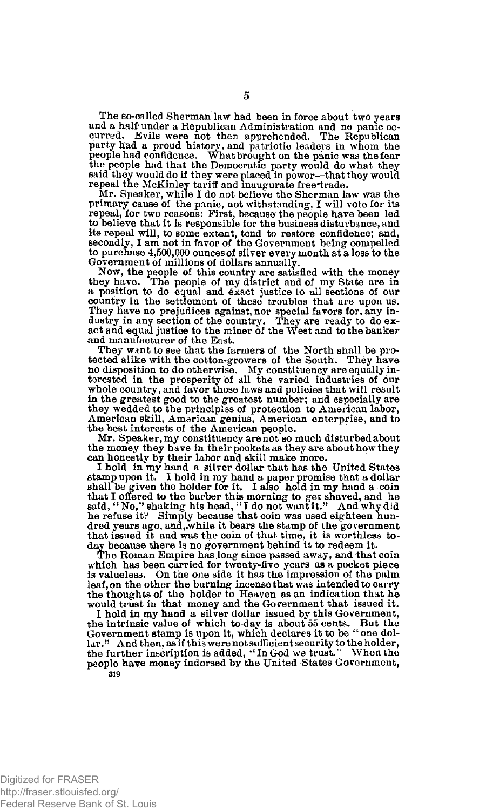The so-called Sherman law had been in force about two years and a half' under a Republican Administration and no panic oc-curred. Evils were not then apprehended. The Republican party had a proud history, and patriotic leaders in whom the people had confidence. What brought on the panic was the fear the people had that the Democratic party would do what they said they would do if they were placed in power—that they would repeal the McKinley tariff and inaugurate free\*trade.

Mr. Speaker, while I do not believe the Sherman law was the primary cause of the panic, not withstanding, I will vote for its repeal, for two reasons: First, because the people have been led to believe that it is responsible for the business disturbance, and its repeal will, to some extent, tend to restore confidence; and, secondly, I am not in favor of the Government being compelled to purchase 4,500,000 ounces of silver every month at a loss to the Government of millions of dollars annually.

Now, the people of this country are satisfied with the money they have. The people of my district and of my State are in a position to do equal and exact justice to all sections of our country in the settlement of these troubles that are upon us. They have no prejudices against, nor special favors for, any in-dustry in any section of the country. They are ready to do exact and equal justice to the miner of the West and to the banker and manufacturer of the East.

They want to see that the farmers of the North shall be protected alike with the cotton-growers of the South. They have no disposition to do otherwise. My constituency are equally interested in the prosperity of all the varied industries of our whole country, and favor those laws and policies that will result in the greatest good to the greatest number; and especially are they wedded to the principles of protection to American labor, American skill, American genius, American enterprise, and to the best interests of the American people.

Mr. Speaker, my constituency are not so much disturbed about the money they have in their pockets as they are about how they can honestly by their labor and skill make more.

I hold in my hand a silver dollar that has the United States stamp upon it. I hold in my hand a paper promise that a dollar shall be given the holder for it. I also hold in my hand a coin that I offered to the barber this morning to get shaved, and he said, "No," shaking his based, "I do not wantit." And why did not be head in the refuse in the dred years ago, and,.while it bears the stamp of the government that issued it and was the coin of that time, it is worthless today because there is no government behind it to redeem it.

The Roman Empire has long since passed away, and that coin which has been carried for twenty-five years as a pocket piece is valueless. On the one side it has the impression of the palm leaf, on the other the burning incense that was intended to carry the thoughts of the holder to Heaven as an indication that he would trust in that money and the Government that issued it.

I hold in my hand a silver dollar issued by this Government, the intrinsic value of which to-day is about 55 cents. But the Government stamp is upon it, which declares it to be "one dollar." And then, as if this were not sufficient security to the holder,<br>the further inscription is added, "In God we trust." When the people have money indorsed by the United States Government, **319**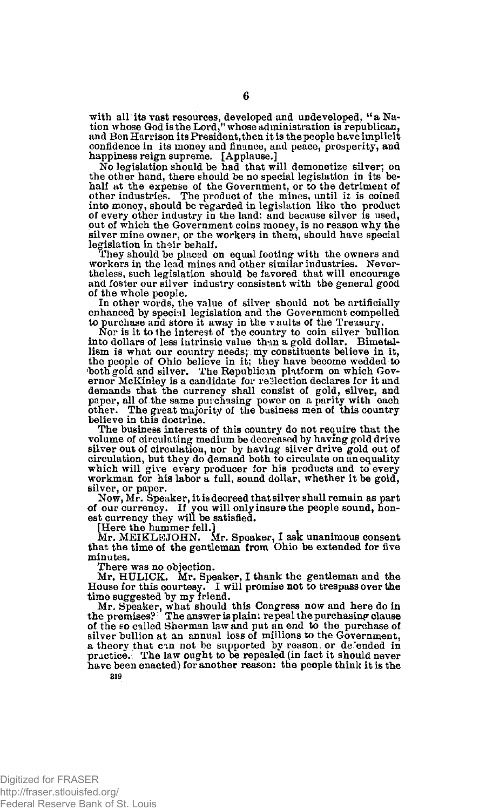with all its vast resources, developed and undeveloped, " a Na-tion whose God is the Lord," whose administration is republican, and Ben Harrison its President, then it is the people have implicit confidence in its money and finance, and peace, prosperity, and happiness reign supreme. [Applause.]

No legislation should be had that will demonetize silver; on the other hand, there should be no special legislation in its behalf at the expense of the Government, or to the detriment of other industries. The product of the mines, until it is coined into money, should be regarded in legislation like the product of every other industry in the land; and because silver is used, put of which the Government coins money, is no reason why the silver mine owner, or the workers in them, should have special legislation in their behalf.

They should be placed on equal footing with the owners and workers in the lead mines and other similar industries. Nevertheless, such legislation should be favored that will encourage and foster our silver industry consistent with the general good of the whole people.

In other words, the value of silver should not be artificially enhanced by special legislation and the Government compelled

to purchase and store it away in the vaults of the Treasury. Nor is it to the interest of the country to coin silver bullion into dollars of less intrinsic value than a gold dollar. Bimetallism is what our country needs; my constituents believe in it, the people of Ohio believe in it; they have become wedded to both gold and silver. The Republican platform on which Governor McKinley is a candidate for reflection declares for it and demands that the currency shall consist of gold, silvep, and paper, all of the same purchasing power on a parity with each other. The great majority of the business men of this country believe in this doctrine.

The business interests of this country do not require that the volume of circulating medium be decreased by having gold drive silver out of circulation, nor by having silver drive gold out of circulation, but they do demand both to circulate on an equality which will give every producer for his products and to every workman for his labor a full, sound dollar, whether it be gold, silver, or paper.

Now, Mr. Speaker, it is decreed that silver shall remain as part of our currency. If you will only insure the people sound, hon-est currency they will be satisfied.

[Here the hammer fell.] Mr. MEIKLEJOHN. Mr. Speaker, I ask unanimous consent that the time of the gentleman from Ohio be extended for five minutes.

There was no objection. Mr. HULiICK. Mr. Speaker, I thank the gentleman and the House for this courtesy. I will promise not to trespass over the time suggested by my friend.

Mr. Speaker, what should this Congress now and here do in the premises? The answer is plain: repeal the purchasing clause of the so called Sherman law and put an end to the purchase of silver bullion at an annual loss of millions to the Government, a theory that can not be supported by reason, or defended in practice. The law ought to be repealed (in fact it should never have been enacted) for another reason: the people think it is the **319**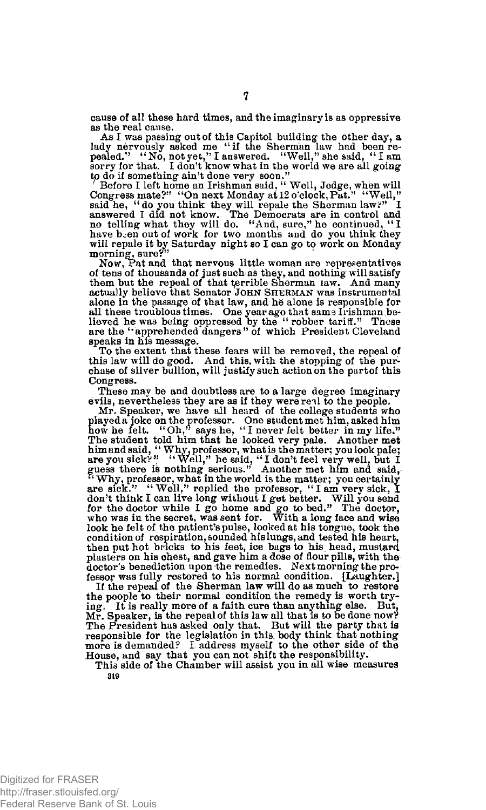cause of all these hard times, and the imaginary is as oppressive as the real cause.

As I was passing out of this Capitol building the other day, **a**  lady nervously asked me "if the Sherman law had been re-<br>pealed." "No, not yet,"I answered. "Well," she said, "I am<br>sorry for that. I don't know what in the world we are all going to do if something ain't done very soon."

' Before I left home an Irishman said, "Well, Jedge, when will<br>Congress mate?" "On next Monday at 12 o'clock, Put." "Well,"<br>said he, "do you think they will repale the Sherman law?" I<br>answered I did not know. The Democrat will repale it by Saturday night so I can go to work on Monday morning, sure?" Now, Pat and that nervous little woman are representatives

of tens of thousands of just such as they, and nothing will satisfy them but the repeal of that terrible Sherman law. And many actually believe that Senator JOHN SHERMAN was instrumental alone in the passage of that law, and he alone is responsible for all these troublous times. One year ago that sams Irishman be-lieved he was being oppressed by the " robber tariff." These are the "apprehended dangers" of which President Cleveland speaks in his message.

To the extent that these fears will be removed, the repeal of this law will do good. And this, with the stopping of the purchase of silver bullion, will justify such action on the part of this Congress.

These may be and doubtless are to a large degree imaginary evils, nevertheless they are as if they were real to the people.

Mr. Speaker, we have all heard of the college students who played a joke on the professor. One student met him, asked him how he felt. "Oh," says he, " I never felt better in my life." The student told him that he looked very pale. Another met<br>him and said, "Why, professor, what is the matter; you look pale;<br>are you sick?" "Well," he said, "I don't feel very well, but I<br>guess there is nothing serious." look he felt of the patient's pulse, looked at his tongue, took the condition of respiration, sounded his lungs, and tested his heart, then put hot bricks to his feet, ice bags to his head, mustard plasters on his chest, and gave him a dose of flour pills, with the doctor's benediction upon the remedies. Next morning the professor was fully restored to his normal condition. [Laughter.]

If the repeal of the Sherman law will do as much to restore the people to their normal condition the remedy is worth trying. It is really more of a faith cure than anything else. But, Mr. Speaker, is the repeal of this law all that is to be done now? The President has asked only that. But will the party that is responsible for the legislation in this, body think that nothing more is demanded? I address myself to the other side of the House, and say that you can not shift the responsibility.

This side of the Chamber will assist you in all wise measures 319